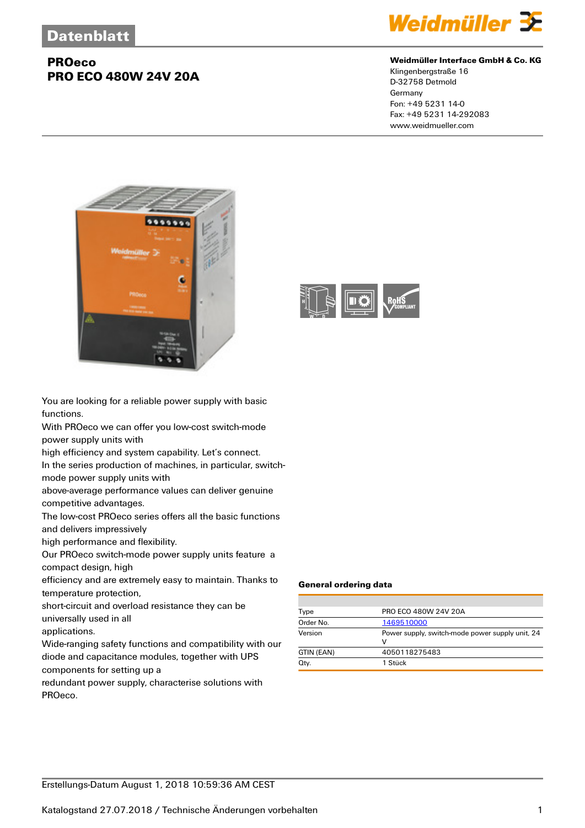

#### **Weidmüller Interface GmbH & Co. KG**

Klingenbergstraße 16 D-32758 Detmold Germany Fon: +49 5231 14-0 Fax: +49 5231 14-292083 www.weidmueller.com



You are looking for a reliable power supply with basic functions.

With PROeco we can offer you low-cost switch-mode power supply units with

high efficiency and system capability. Let's connect.

In the series production of machines, in particular, switchmode power supply units with

above-average performance values can deliver genuine

competitive advantages.

The low-cost PROeco series offers all the basic functions and delivers impressively

high performance and flexibility.

Our PROeco switch-mode power supply units feature a compact design, high

efficiency and are extremely easy to maintain. Thanks to temperature protection,

short-circuit and overload resistance they can be universally used in all

applications.

Wide-ranging safety functions and compatibility with our diode and capacitance modules, together with UPS components for setting up a

redundant power supply, characterise solutions with PROeco.



#### **General ordering data**

| Type       | PRO ECO 480W 24V 20A                                 |
|------------|------------------------------------------------------|
| Order No.  | 1469510000                                           |
| Version    | Power supply, switch-mode power supply unit, 24<br>v |
| GTIN (EAN) | 4050118275483                                        |
| Qty.       | 1 Stück                                              |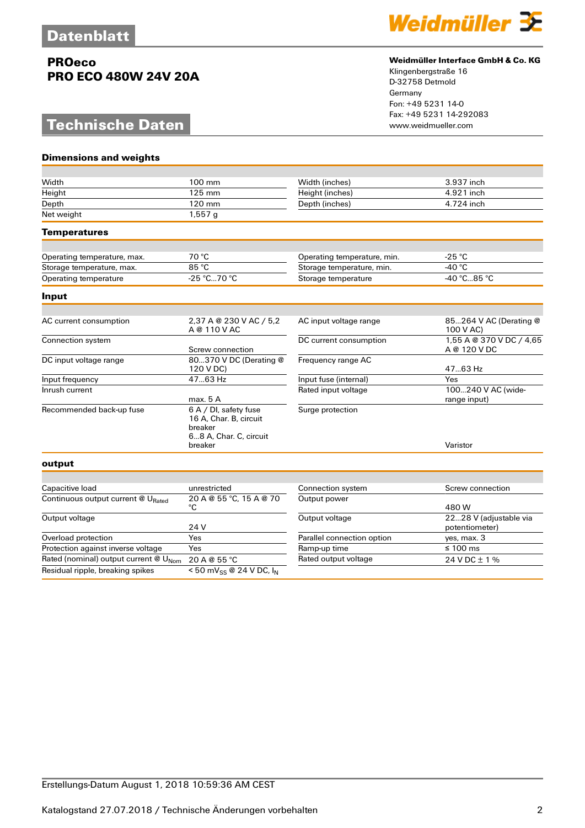# **Technische Daten**

**Dimensions and weights**



#### **Weidmüller Interface GmbH & Co. KG**

| Width                                             | 100 mm                                                                               | Width (inches)              | 3.937 inch                               |
|---------------------------------------------------|--------------------------------------------------------------------------------------|-----------------------------|------------------------------------------|
| Height                                            | 125 mm                                                                               | Height (inches)             | 4.921 inch                               |
| Depth                                             | 120 mm                                                                               | Depth (inches)              | 4.724 inch                               |
| Net weight                                        | 1,557q                                                                               |                             |                                          |
| <b>Temperatures</b>                               |                                                                                      |                             |                                          |
|                                                   |                                                                                      |                             |                                          |
| Operating temperature, max.                       | 70 °C                                                                                | Operating temperature, min. | $-25 °C$                                 |
| Storage temperature, max.                         | 85 °C                                                                                | Storage temperature, min.   | -40 $^{\circ}$ C                         |
| Operating temperature                             | -25 °C70 °C                                                                          | Storage temperature         | -40 °C85 °C                              |
| Input                                             |                                                                                      |                             |                                          |
|                                                   |                                                                                      |                             |                                          |
| AC current consumption                            | 2,37 A @ 230 V AC / 5,2<br>A @ 110 V AC                                              | AC input voltage range      | 85264 V AC (Derating @<br>100 V AC)      |
| Connection system                                 | Screw connection                                                                     | DC current consumption      | 1,55 A @ 370 V DC / 4,65<br>A @ 120 V DC |
| DC input voltage range                            | 80370 V DC (Derating @<br>120 V DC)                                                  | Frequency range AC          | 47.63 Hz                                 |
| Input frequency                                   | 47.63 Hz                                                                             | Input fuse (internal)       | Yes                                      |
| Inrush current                                    | max. 5 A                                                                             | Rated input voltage         | 100240 V AC (wide-<br>range input)       |
| Recommended back-up fuse                          | 6 A / DI, safety fuse<br>16 A, Char. B, circuit<br>breaker<br>68 A, Char. C, circuit | Surge protection            |                                          |
|                                                   | breaker                                                                              |                             | Varistor                                 |
| output                                            |                                                                                      |                             |                                          |
|                                                   |                                                                                      |                             |                                          |
| Capacitive load                                   | unrestricted                                                                         | Connection system           | Screw connection                         |
| Continuous output current @ URated                | 20 A @ 55 °C, 15 A @ 70<br>$^{\circ}C$                                               | Output power                | 480 W                                    |
| Output voltage                                    | 24 V                                                                                 | Output voltage              | 2228 V (adjustable via<br>potentiometer) |
| Overload protection                               | Yes                                                                                  | Parallel connection option  | yes, max. 3                              |
| Protection against inverse voltage                | Yes                                                                                  | Ramp-up time                | $\leq 100$ ms                            |
| Rated (nominal) output current @ U <sub>Nom</sub> | 20 A @ 55 °C                                                                         | Rated output voltage        | 24 V DC ± 1 %                            |
| Residual ripple, breaking spikes                  | <50 mV <sub>SS</sub> @ 24 V DC, $I_N$                                                |                             |                                          |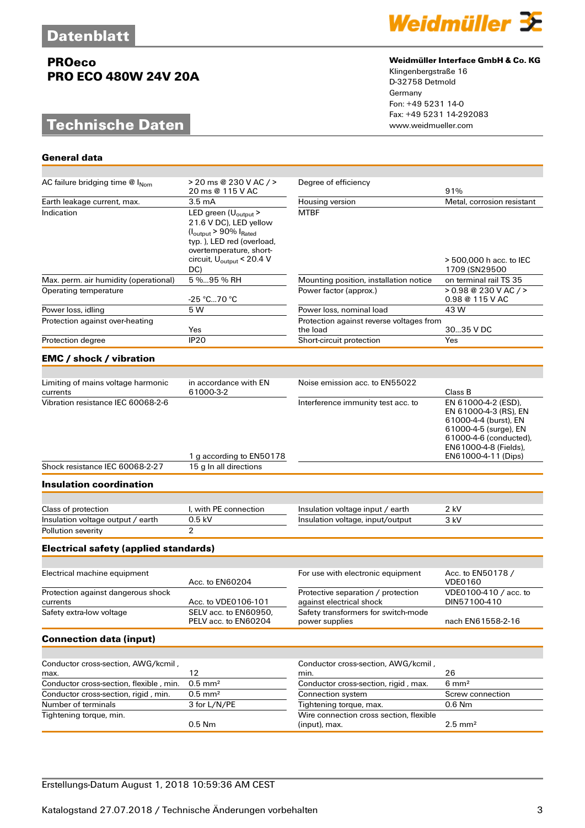**General data**

# **PROeco PRO ECO 480W 24V 20A**

# **Technische Daten**



## **Weidmüller Interface GmbH & Co. KG**

| AC failure bridging time $@$ $ _{\text{Nom}}$  | > 20 ms @ 230 V AC / ><br>20 ms @ 115 V AC                                                                                                                                                                  | Degree of efficiency                                           | 91%                                                                                                                                                                      |
|------------------------------------------------|-------------------------------------------------------------------------------------------------------------------------------------------------------------------------------------------------------------|----------------------------------------------------------------|--------------------------------------------------------------------------------------------------------------------------------------------------------------------------|
| Earth leakage current, max.                    | 3.5 <sub>mA</sub>                                                                                                                                                                                           | Housing version                                                | Metal, corrosion resistant                                                                                                                                               |
| Indication                                     | LED green (U <sub>output</sub> ><br>21.6 V DC), LED yellow<br>$(I_{\text{output}} > 90\% I_{\text{Rated}}$<br>typ.), LED red (overload,<br>overtemperature, short-<br>circuit, $U_{\text{output}}$ < 20.4 V | <b>MTBF</b>                                                    | > 500,000 h acc. to IEC                                                                                                                                                  |
| Max. perm. air humidity (operational)          | DC)<br>5 %95 % RH                                                                                                                                                                                           | Mounting position, installation notice                         | 1709 (SN29500<br>on terminal rail TS 35                                                                                                                                  |
| Operating temperature                          |                                                                                                                                                                                                             | Power factor (approx.)                                         | > 0.98 @ 230 V AC / >                                                                                                                                                    |
|                                                | -25 °C70 °C                                                                                                                                                                                                 |                                                                | 0.98 @ 115 V AC                                                                                                                                                          |
| Power loss, idling                             | 5 W                                                                                                                                                                                                         | Power loss, nominal load                                       | 43 W                                                                                                                                                                     |
| Protection against over-heating                | Yes                                                                                                                                                                                                         | Protection against reverse voltages from<br>the load           | 3035 V DC                                                                                                                                                                |
| Protection degree                              | <b>IP20</b>                                                                                                                                                                                                 | Short-circuit protection                                       | Yes                                                                                                                                                                      |
| <b>EMC</b> / shock / vibration                 |                                                                                                                                                                                                             |                                                                |                                                                                                                                                                          |
|                                                |                                                                                                                                                                                                             |                                                                |                                                                                                                                                                          |
| Limiting of mains voltage harmonic<br>currents | in accordance with EN<br>61000-3-2                                                                                                                                                                          | Noise emission acc. to EN55022                                 | Class B                                                                                                                                                                  |
| Vibration resistance IEC 60068-2-6             | 1 g according to EN50178                                                                                                                                                                                    | Interference immunity test acc. to                             | EN 61000-4-2 (ESD),<br>EN 61000-4-3 (RS), EN<br>61000-4-4 (burst), EN<br>61000-4-5 (surge), EN<br>61000-4-6 (conducted),<br>EN61000-4-8 (Fields),<br>EN61000-4-11 (Dips) |
| Shock resistance IEC 60068-2-27                | 15 g In all directions                                                                                                                                                                                      |                                                                |                                                                                                                                                                          |
| <b>Insulation coordination</b>                 |                                                                                                                                                                                                             |                                                                |                                                                                                                                                                          |
|                                                |                                                                                                                                                                                                             |                                                                |                                                                                                                                                                          |
| Class of protection                            | I, with PE connection                                                                                                                                                                                       | Insulation voltage input / earth                               | 2 kV                                                                                                                                                                     |
| Insulation voltage output / earth              | 0.5 kV                                                                                                                                                                                                      | Insulation voltage, input/output                               | 3 kV                                                                                                                                                                     |
| Pollution severity                             | 2                                                                                                                                                                                                           |                                                                |                                                                                                                                                                          |
| <b>Electrical safety (applied standards)</b>   |                                                                                                                                                                                                             |                                                                |                                                                                                                                                                          |
|                                                |                                                                                                                                                                                                             |                                                                |                                                                                                                                                                          |
| Electrical machine equipment                   | Acc. to EN60204                                                                                                                                                                                             | For use with electronic equipment                              | Acc. to EN50178 /<br><b>VDE0160</b>                                                                                                                                      |
| Protection against dangerous shock<br>currents | Acc. to VDE0106-101                                                                                                                                                                                         | Protective separation / protection<br>against electrical shock | VDE0100-410 / acc. to<br>DIN57100-410                                                                                                                                    |
| Safety extra-low voltage                       | SELV acc. to EN60950,<br>PELV acc. to EN60204                                                                                                                                                               | Safety transformers for switch-mode<br>power supplies          | nach EN61558-2-16                                                                                                                                                        |
| <b>Connection data (input)</b>                 |                                                                                                                                                                                                             |                                                                |                                                                                                                                                                          |
|                                                |                                                                                                                                                                                                             |                                                                |                                                                                                                                                                          |
| Conductor cross-section, AWG/kcmil,<br>max.    | 12                                                                                                                                                                                                          | Conductor cross-section, AWG/kcmil,<br>min.                    | 26                                                                                                                                                                       |
| Conductor cross-section, flexible, min.        | $0.5$ mm <sup>2</sup>                                                                                                                                                                                       | Conductor cross-section, rigid, max.                           | $6 \text{ mm}^2$                                                                                                                                                         |
| Conductor cross-section, rigid, min.           | $0.5$ mm <sup>2</sup>                                                                                                                                                                                       | Connection system                                              | Screw connection                                                                                                                                                         |
| Number of terminals                            | 3 for L/N/PE                                                                                                                                                                                                | Tightening torque, max.                                        | 0.6 Nm                                                                                                                                                                   |
| Tightening torque, min.                        | $0.5$ Nm                                                                                                                                                                                                    | Wire connection cross section, flexible<br>(input), max.       | $2.5$ mm <sup>2</sup>                                                                                                                                                    |
|                                                |                                                                                                                                                                                                             |                                                                |                                                                                                                                                                          |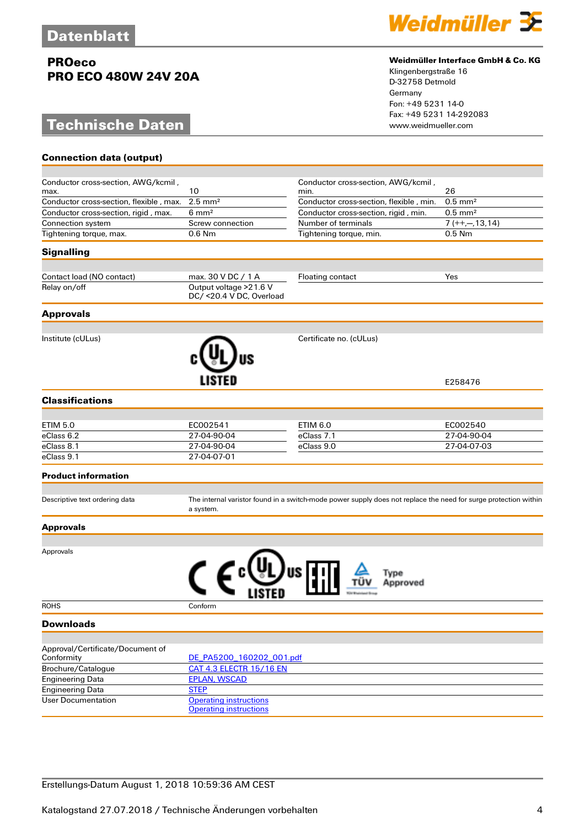# **Technische Daten**

**Connection data (output)**



#### **Weidmüller Interface GmbH & Co. KG**

| Conductor cross-section, AWG/kcmil,            | 10                                                             | Conductor cross-section, AWG/kcmil,                                                                             | 26                               |
|------------------------------------------------|----------------------------------------------------------------|-----------------------------------------------------------------------------------------------------------------|----------------------------------|
| max.                                           |                                                                | min.                                                                                                            |                                  |
| Conductor cross-section, flexible, max.        | $2.5$ mm <sup>2</sup>                                          | Conductor cross-section, flexible, min.                                                                         | $\overline{0.5}$ mm <sup>2</sup> |
| Conductor cross-section, rigid, max.           | $6 \text{ mm}^2$                                               | Conductor cross-section, rigid, min.                                                                            | $0.5$ mm <sup>2</sup>            |
| Connection system                              | Screw connection                                               | Number of terminals                                                                                             | $7 (++, -, 13, 14)$              |
| Tightening torque, max.                        | $0.6$ Nm                                                       | Tightening torque, min.                                                                                         | 0.5 Nm                           |
| <b>Signalling</b>                              |                                                                |                                                                                                                 |                                  |
| Contact load (NO contact)                      | max. 30 V DC / 1 A                                             | <b>Floating contact</b>                                                                                         | Yes                              |
| Relay on/off                                   | Output voltage > 21.6 V<br>DC/ <20.4 V DC, Overload            |                                                                                                                 |                                  |
| <b>Approvals</b>                               |                                                                |                                                                                                                 |                                  |
|                                                |                                                                |                                                                                                                 |                                  |
| Institute (cULus)                              |                                                                | Certificate no. (cULus)                                                                                         |                                  |
|                                                |                                                                |                                                                                                                 | E258476                          |
| <b>Classifications</b>                         |                                                                |                                                                                                                 |                                  |
|                                                |                                                                |                                                                                                                 |                                  |
| <b>ETIM 5.0</b>                                | EC002541                                                       | ETIM 6.0                                                                                                        | EC002540                         |
| eClass 6.2                                     | 27-04-90-04                                                    | eClass 7.1                                                                                                      | 27-04-90-04                      |
| eClass 8.1                                     | 27-04-90-04                                                    | eClass 9.0                                                                                                      | 27-04-07-03                      |
| eClass 9.1                                     | 27-04-07-01                                                    |                                                                                                                 |                                  |
| <b>Product information</b>                     |                                                                |                                                                                                                 |                                  |
| Descriptive text ordering data                 | a system.                                                      | The internal varistor found in a switch-mode power supply does not replace the need for surge protection within |                                  |
| <b>Approvals</b>                               |                                                                |                                                                                                                 |                                  |
| Approvals                                      |                                                                |                                                                                                                 |                                  |
|                                                |                                                                |                                                                                                                 |                                  |
| <b>ROHS</b>                                    | Conform                                                        |                                                                                                                 |                                  |
| <b>Downloads</b>                               |                                                                |                                                                                                                 |                                  |
|                                                |                                                                |                                                                                                                 |                                  |
| Approval/Certificate/Document of<br>Conformity | DE_PA5200_160202_001.pdf                                       |                                                                                                                 |                                  |
| Brochure/Catalogue                             | <b>CAT 4.3 ELECTR 15/16 EN</b>                                 |                                                                                                                 |                                  |
| <b>Engineering Data</b>                        | <b>EPLAN, WSCAD</b>                                            |                                                                                                                 |                                  |
| <b>Engineering Data</b>                        | <b>STEP</b>                                                    |                                                                                                                 |                                  |
| User Documentation                             | <b>Operating instructions</b><br><b>Operating instructions</b> |                                                                                                                 |                                  |
|                                                |                                                                |                                                                                                                 |                                  |